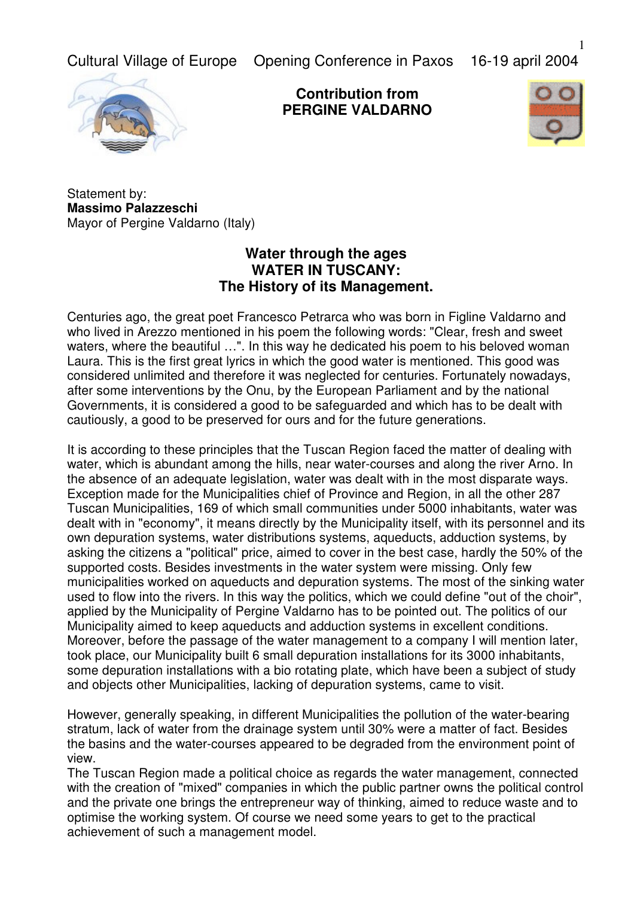Cultural Village of Europe Opening Conference in Paxos 16-19 april 2004



**Contribution from PERGINE VALDARNO**



Statement by: **Massimo Palazzeschi** Mayor of Pergine Valdarno (Italy)

## **Water through the ages WATER IN TUSCANY: The History of its Management.**

Centuries ago, the great poet Francesco Petrarca who was born in Figline Valdarno and who lived in Arezzo mentioned in his poem the following words: "Clear, fresh and sweet waters, where the beautiful …". In this way he dedicated his poem to his beloved woman Laura. This is the first great lyrics in which the good water is mentioned. This good was considered unlimited and therefore it was neglected for centuries. Fortunately nowadays, after some interventions by the Onu, by the European Parliament and by the national Governments, it is considered a good to be safeguarded and which has to be dealt with cautiously, a good to be preserved for ours and for the future generations.

It is according to these principles that the Tuscan Region faced the matter of dealing with water, which is abundant among the hills, near water-courses and along the river Arno. In the absence of an adequate legislation, water was dealt with in the most disparate ways. Exception made for the Municipalities chief of Province and Region, in all the other 287 Tuscan Municipalities, 169 of which small communities under 5000 inhabitants, water was dealt with in "economy", it means directly by the Municipality itself, with its personnel and its own depuration systems, water distributions systems, aqueducts, adduction systems, by asking the citizens a "political" price, aimed to cover in the best case, hardly the 50% of the supported costs. Besides investments in the water system were missing. Only few municipalities worked on aqueducts and depuration systems. The most of the sinking water used to flow into the rivers. In this way the politics, which we could define "out of the choir", applied by the Municipality of Pergine Valdarno has to be pointed out. The politics of our Municipality aimed to keep aqueducts and adduction systems in excellent conditions. Moreover, before the passage of the water management to a company I will mention later, took place, our Municipality built 6 small depuration installations for its 3000 inhabitants, some depuration installations with a bio rotating plate, which have been a subject of study and objects other Municipalities, lacking of depuration systems, came to visit.

However, generally speaking, in different Municipalities the pollution of the water-bearing stratum, lack of water from the drainage system until 30% were a matter of fact. Besides the basins and the water-courses appeared to be degraded from the environment point of view.

The Tuscan Region made a political choice as regards the water management, connected with the creation of "mixed" companies in which the public partner owns the political control and the private one brings the entrepreneur way of thinking, aimed to reduce waste and to optimise the working system. Of course we need some years to get to the practical achievement of such a management model.